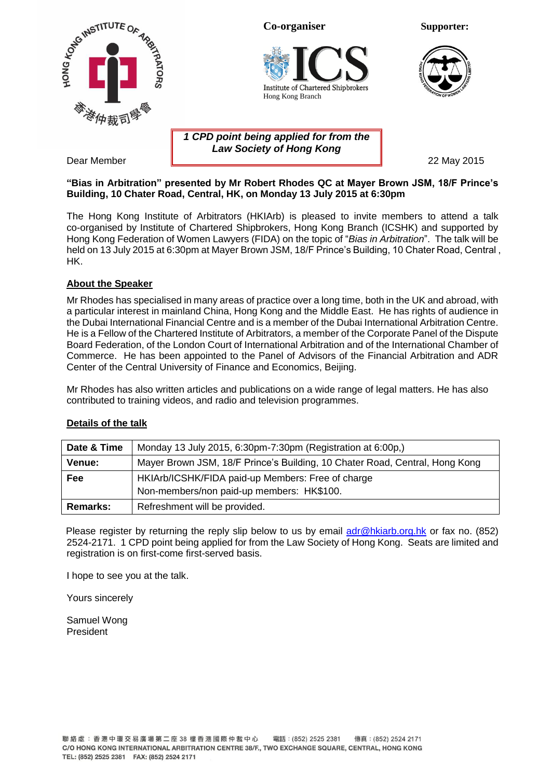

## **"Bias in Arbitration" presented by Mr Robert Rhodes QC at Mayer Brown JSM, 18/F Prince's Building, 10 Chater Road, Central, HK, on Monday 13 July 2015 at 6:30pm**

The Hong Kong Institute of Arbitrators (HKIArb) is pleased to invite members to attend a talk co-organised by Institute of Chartered Shipbrokers, Hong Kong Branch (ICSHK) and supported by Hong Kong Federation of Women Lawyers (FIDA) on the topic of "*Bias in Arbitration*". The talk will be held on 13 July 2015 at 6:30pm at Mayer Brown JSM, 18/F Prince's Building, 10 Chater Road, Central, HK.

## **About the Speaker**

Mr Rhodes has specialised in many areas of practice over a long time, both in the UK and abroad, with a particular interest in mainland China, Hong Kong and the Middle East. He has rights of audience in the Dubai International Financial Centre and is a member of the Dubai International Arbitration Centre. He is a Fellow of the Chartered Institute of Arbitrators, a member of the Corporate Panel of the Dispute Board Federation, of the London Court of International Arbitration and of the International Chamber of Commerce. He has been appointed to the Panel of Advisors of the Financial Arbitration and ADR Center of the Central University of Finance and Economics, Beijing.

Mr Rhodes has also written articles and publications on a wide range of legal matters. He has also contributed to training videos, and radio and television programmes.

#### **Details of the talk**

| Date & Time   | Monday 13 July 2015, 6:30pm-7:30pm (Registration at 6:00p,)                 |  |
|---------------|-----------------------------------------------------------------------------|--|
| <b>Venue:</b> | Mayer Brown JSM, 18/F Prince's Building, 10 Chater Road, Central, Hong Kong |  |
| Fee           | HKIArb/ICSHK/FIDA paid-up Members: Free of charge                           |  |
|               | Non-members/non paid-up members: HK\$100.                                   |  |
| Remarks:      | Refreshment will be provided.                                               |  |

Please register by returning the reply slip below to us by email [adr@hkiarb.org.hk](mailto:adr@hkiarb.org.hk) or fax no. (852) 2524-2171. 1 CPD point being applied for from the Law Society of Hong Kong. Seats are limited and registration is on first-come first-served basis.

I hope to see you at the talk.

Yours sincerely

Samuel Wong President